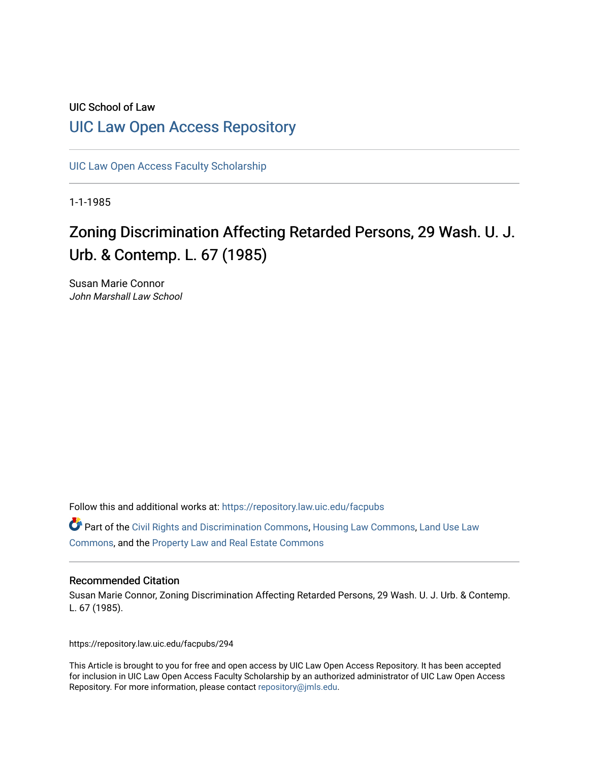### UIC School of Law [UIC Law Open Access Repository](https://repository.law.uic.edu/)

[UIC Law Open Access Faculty Scholarship](https://repository.law.uic.edu/facpubs)

1-1-1985

# Zoning Discrimination Affecting Retarded Persons, 29 Wash. U. J. Urb. & Contemp. L. 67 (1985)

Susan Marie Connor John Marshall Law School

Follow this and additional works at: [https://repository.law.uic.edu/facpubs](https://repository.law.uic.edu/facpubs?utm_source=repository.law.uic.edu%2Ffacpubs%2F294&utm_medium=PDF&utm_campaign=PDFCoverPages) 

Part of the [Civil Rights and Discrimination Commons,](http://network.bepress.com/hgg/discipline/585?utm_source=repository.law.uic.edu%2Ffacpubs%2F294&utm_medium=PDF&utm_campaign=PDFCoverPages) [Housing Law Commons,](http://network.bepress.com/hgg/discipline/846?utm_source=repository.law.uic.edu%2Ffacpubs%2F294&utm_medium=PDF&utm_campaign=PDFCoverPages) [Land Use Law](http://network.bepress.com/hgg/discipline/852?utm_source=repository.law.uic.edu%2Ffacpubs%2F294&utm_medium=PDF&utm_campaign=PDFCoverPages) [Commons](http://network.bepress.com/hgg/discipline/852?utm_source=repository.law.uic.edu%2Ffacpubs%2F294&utm_medium=PDF&utm_campaign=PDFCoverPages), and the [Property Law and Real Estate Commons](http://network.bepress.com/hgg/discipline/897?utm_source=repository.law.uic.edu%2Ffacpubs%2F294&utm_medium=PDF&utm_campaign=PDFCoverPages) 

#### Recommended Citation

Susan Marie Connor, Zoning Discrimination Affecting Retarded Persons, 29 Wash. U. J. Urb. & Contemp. L. 67 (1985).

https://repository.law.uic.edu/facpubs/294

This Article is brought to you for free and open access by UIC Law Open Access Repository. It has been accepted for inclusion in UIC Law Open Access Faculty Scholarship by an authorized administrator of UIC Law Open Access Repository. For more information, please contact [repository@jmls.edu.](mailto:repository@jmls.edu)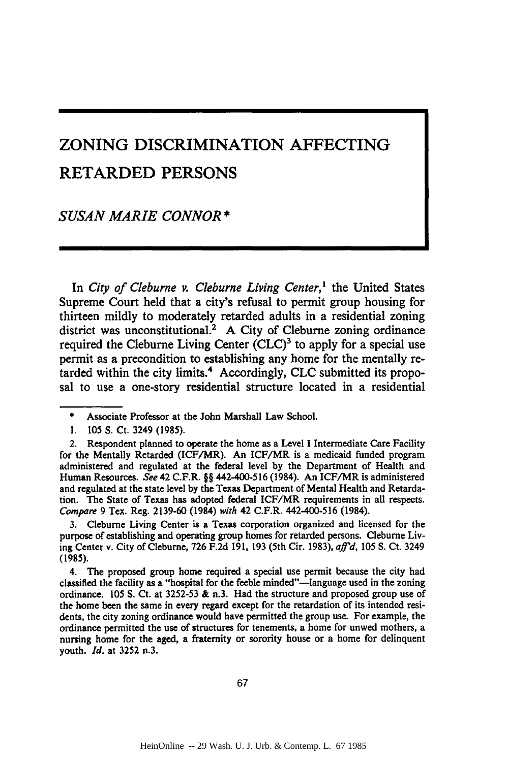## ZONING DISCRIMINATION AFFECTING RETARDED **PERSONS**

*SUSAN MARIE CONNOR \**

In *City of Cleburne v. Cleburne Living Center,'* the United States Supreme Court held that a city's refusal to permit group housing for thirteen mildly to moderately retarded adults in a residential zoning district was unconstitutional.<sup>2</sup> A City of Cleburne zoning ordinance required the Cleburne Living Center  $(C<sup>2</sup>)<sup>3</sup>$  to apply for a special use permit as a precondition to establishing any home for the mentally retarded within the city limits.4 Accordingly, CLC submitted its proposal to use a one-story residential structure located in a residential

**3.** Cleburne Living Center is a Texas corporation organized and licensed for the purpose of establishing and operating group homes for retarded persons. Cleburne Living Center v. City of Cleburne, 726 F.2d 191, **193** (5th Cir. 1983), *afid,* 105 **S.** Ct. 3249 **(1985).**

4. The proposed group home required a special use permit because the city had classified the facility as a "hospital for the feeble minded"-language used in the zoning ordinance. **105 S.** Ct. at 3252-53 **&** n.3. Had the structure and proposed group use of the home been the same in every regard except for the retardation of its intended residents, the city zoning ordinance would have permitted the group use. For example, the ordinance permitted the use of structures for tenements, a home for unwed mothers, a nursing home for the aged, a fraternity or sorority house or a home for delinquent youth. *Id.* at 3252 n.3.

**<sup>\*</sup>** Associate Professor at the John Marshall Law School.

**<sup>1. 105</sup> S.** Ct. 3249 (1985).

<sup>2.</sup> Respondent planned to operate the home as a Level **I** Intermediate Care Facility for the Mentally Retarded (ICF/MR). An ICF/MR is a medicaid funded program administered and regulated at the federal level **by** the Department of Health and Human Resources. *See* 42 C.F.R. §§ 442-400-516 (1984). An ICF/MR is administered and regulated at the state level **by** the Texas Department of Mental Health and Retardation. The State of Texas has adopted federal ICF/MR requirements in all respects. *Compare* 9 Tex. Reg. 2139-60 (1984) *with* 42 C.F.R. 442-400-516 (1984).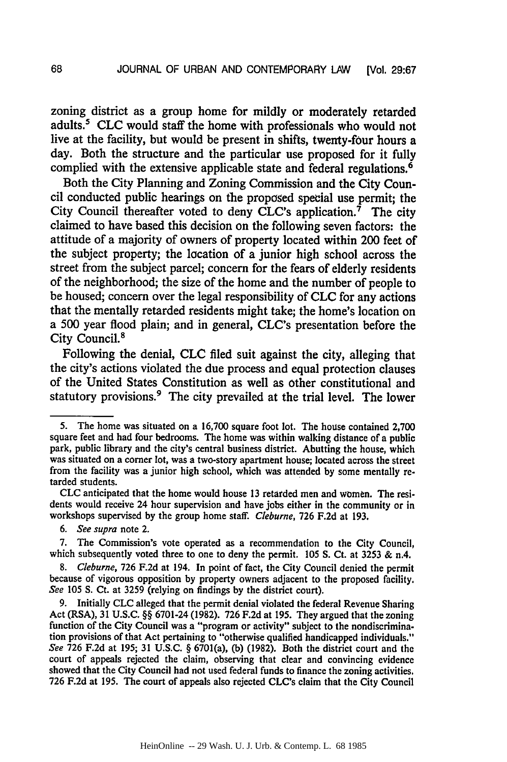zoning district as a group home for mildly or moderately retarded adults.' **CLC** would staff the home with professionals who would not live at the facility, but would be present in shifts, twenty-four hours a day. Both the structure and the particular use proposed for it fully complied with the extensive applicable state and federal regulations. <sup>6</sup>

Both the City Planning and Zoning Commission and the City Council conducted public hearings on the proposed special use permit; the City Council thereafter voted to deny CLC's application.<sup>7</sup> The city claimed to have based this decision on the following seven factors: the attitude of a majority of owners of property located within 200 feet of the subject property; the location of a junior high school across the street from the subject parcel; concern for the fears of elderly residents of the neighborhood; the size of the home and the number of people to be housed; concern over the legal responsibility of **CLC** for any actions that the mentally retarded residents might take; the home's location on a **500** year flood plain; and in general, CLC's presentation before the City Council.<sup>8</sup>

Following the denial, **CLC** filed suit against the city, alleging that the city's actions violated the due process and equal protection clauses of the United States Constitution as well as other constitutional and statutory provisions.<sup>9</sup> The city prevailed at the trial level. The lower

**CLC** anticipated that the home would house **13** retarded men and women. The residents would receive 24 hour supervision and have jobs either in the community or in workshops supervised **by** the group home staff. *Cleburne,* **726 F.2d** at **193.**

*6. See supra* note 2.

*8. Cleburne,* **726 F.2d** at 194. In point of fact, the City Council denied the permit because of vigorous opposition **by** property owners adjacent to the proposed facility. *See* **105 S.** Ct. at **3259** (relying on findings **by** the district court).

**9.** Initially **CLC** alleged that the permit denial violated the federal Revenue Sharing Act (RSA), **31 U.S.C.** §§ 6701-24 **(1982). 726 F.2d** at **195.** They argued that the zoning function of the City Council was a "program or activity" subject to the nondiscrimination provisions of that Act pertaining to "otherwise qualified handicapped individuals." *See* **726 F.2d** at **195; 31 U.S.C.** § 6701(a), **(b) (1982).** Both the district court and the court of appeals rejected the claim, observing that clear and convincing evidence showed that the City Council had not used federal funds to finance the zoning activities. **726 F.2d** at **195.** The court of appeals also rejected CLC's claim that the City Council

**<sup>5.</sup>** The home was situated on a **16,700** square foot lot. The house contained **2,700** square feet and had four bedrooms. The home was within walking distance of a public park, public library and the city's central business district. Abutting the house, which was situated on a corner lot, was a two-story apartment house; located across the street from the facility was a junior high school, which was attended **by** some mentally retarded students.

**<sup>7.</sup>** The Commission's vote operated as a recommendation to the City Council, which subsequently voted three to one to deny the permit. **105 S.** Ct. at **3253 &** n.4.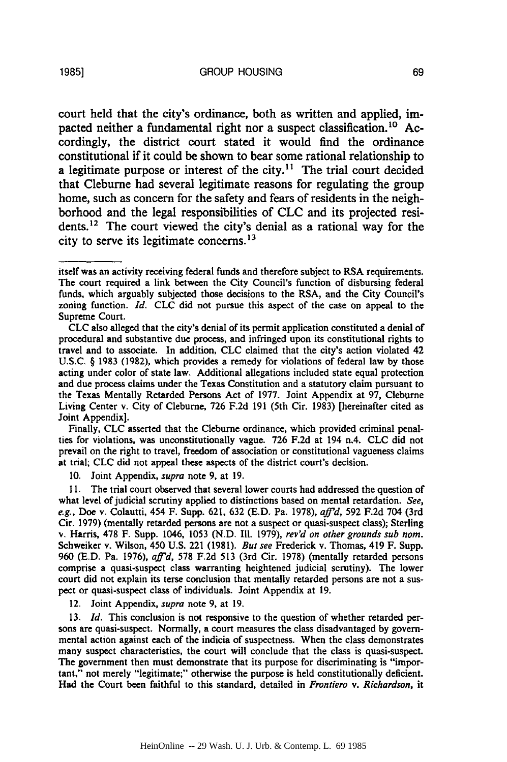court held that the city's ordinance, both as written and applied, impacted neither a fundamental right nor a suspect classification.<sup>10</sup> Accordingly, the district court stated it would find the ordinance constitutional if it could be shown to bear some rational relationship to a legitimate purpose or interest of the city.<sup>11</sup> The trial court decided that Cleburne had several legitimate reasons for regulating the group home, such as concern for the safety and fears of residents in the neighborhood and the legal responsibilities of **CLC** and its projected residents.<sup>12</sup> The court viewed the city's denial as a rational way for the city to serve its legitimate concerns.<sup>13</sup>

Finally, CLC asserted that the Cleburne ordinance, which provided criminal penalties for violations, was unconstitutionally vague. 726 F.2d at 194 n.4. CLC did not prevail on the right to travel, freedom of association or constitutional vagueness claims at trial; **CLC** did not appeal these aspects of the district court's decision.

10. Joint Appendix, *supra* note 9, at 19.

**11.** The trial court observed that several lower courts had addressed the question of what level of judicial scrutiny applied to distinctions based on mental retardation. *See, e.g.,* Doe v. Colautti, 454 F. Supp. 621, 632 (E.D. Pa. 1978), *affid,* 592 F.2d 704 (3rd Cir. 1979) (mentally retarded persons are not a suspect or quasi-suspect class); Sterling v. Harris, 478 F. Supp. 1046, 1053 (N.D. Ill. 1979), *rev'd on other grounds sub nom.* Schweiker v. Wilson, 450 U.S. 221 (1981). *But see* Frederick v. Thomas, 419 F. Supp. 960 (E.D. Pa. 1976), *aff'd,* 578 F.2d 513 (3rd Cir. 1978) (mentally retarded persons comprise a quasi-suspect class warranting heightened judicial scrutiny). The lower court did not explain its terse conclusion that mentally retarded persons are not a suspect or quasi-suspect class of individuals. Joint Appendix at 19.

12. Joint Appendix, *supra* note 9, at **19.**

*13. Id.* This conclusion is not responsive to the question of whether retarded persons are quasi-suspect. Normally, a court measures the class disadvantaged by governmental action against each of the indicia of suspectness. When the class demonstrates many suspect characteristics, the court will conclude that the class is quasi-suspect. The government then must demonstrate that its purpose for discriminating is "important," not merely "legitimate;" otherwise the purpose is held constitutionally deficient. Had the Court been faithful to this standard, detailed in *Frontiero v. Richardson,* it

itself was an activity receiving federal funds and therefore subject to RSA requirements. The court required a link between the City Council's function of disbursing federal funds, which arguably subjected those decisions to the RSA, and the City Council's zoning function. *Id.* CLC did not pursue this aspect of the case on appeal to the Supreme Court.

CLC also alleged that the city's denial of its permit application constituted a denial of procedural and substantive due process, and infringed upon its constitutional rights to travel and to associate. In addition, CLC claimed that the city's action violated 42 U.S.C. § 1983 (1982), which provides a remedy for violations of federal law by those acting under color of state law. Additional allegations included state equal protection and due process claims under the Texas Constitution and a statutory claim pursuant to the Texas Mentally Retarded Persons Act of 1977. Joint Appendix at 97, Cleburne Living Center v. City of Cleburne, 726 F.2d 191 (5th Cir. 1983) [hereinafter cited as Joint Appendix].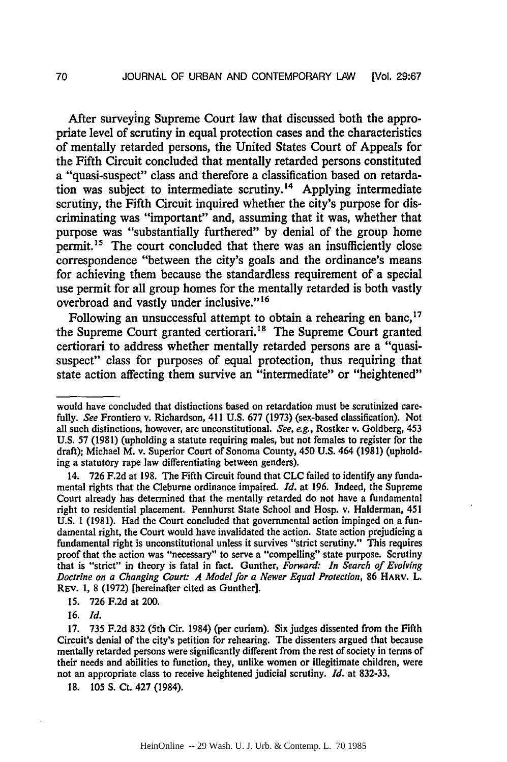After surveying Supreme Court law that discussed both the appro**priate** level of scrutiny in equal protection cases and the characteristics of mentally retarded persons, the United States Court of Appeals for the Fifth Circuit concluded that mentally retarded persons constituted a "quasi-suspect" class and therefore a classification based on retardation was subject to intermediate scrutiny.<sup>14</sup> Applying intermediate scrutiny, the Fifth Circuit inquired whether the city's purpose for discriminating was "important" and, assuming that it was, whether that purpose was "substantially furthered" **by** denial of the group home permit.<sup>15</sup> The court concluded that there was an insufficiently close correspondence "between the city's goals and the ordinance's means for achieving them because the standardless requirement of a special use permit for all group homes for the mentally retarded is both vastly overbroad and vastly under inclusive."<sup>16</sup>

Following an unsuccessful attempt to obtain a rehearing en banc,<sup>17</sup> the Supreme Court granted certiorari.<sup>18</sup> The Supreme Court granted certiorari to address whether mentally retarded persons are a "quasisuspect" class for purposes of equal protection, thus requiring that state action affecting them survive an "intermediate" or "heightened"

15. 726 F.2d at 200.

16. *Id.*

18. 105 **S.** Ct. 427 (1984).

would have concluded that distinctions based on retardation must be scrutinized carefully. *See* Frontiero v. Richardson, 411 U.S. 677 (1973) (sex-based classification). Not all such distinctions, however, are unconstitutional. *See, e.g.,* Rostker v. Goldberg, 453 U.S. 57 (1981) (upholding a statute requiring males, but not females to register for the draft); Michael M. v. Superior Court of Sonoma County, 450 U.S. 464 (1981) (upholding a statutory rape law differentiating between genders).

<sup>14. 726</sup> F.2d at 198. The Fifth Circuit found that **CLC** failed to identify any fundamental rights that the Cleburne ordinance impaired. *Id.* at 196. Indeed, the Supreme Court already has determined that the mentally retarded do not have a fundamental right to residential placement. Pennhurst State School and Hosp, v. Halderman, 451 U.S. **1** (1981). Had the Court concluded that governmental action impinged on a fundamental right, the Court would have invalidated the action. State action prejudicing a fundamental right is unconstitutional unless it survives "strict scrutiny." This requires proof that the action was "necessary" to serve a "compelling" state purpose. Scrutiny that is "strict" in theory is fatal in fact. Gunther, *Forward: In Search of Evolving Doctrine on a Changing Court: A Model for a Newer Equal Protection,* 86 HARv. L. REv. 1, 8 (1972) [hereinafter cited as Gunther].

<sup>17. 735</sup> F.2d 832 (5th Cir. 1984) (per curiam). Six judges dissented from the Fifth Circuit's denial of the city's petition for rehearing. The dissenters argued that because mentally retarded persons were significantly different from the rest of society in terms of their needs and abilities to function, they, unlike women or illegitimate children, were not an appropriate class to receive heightened judicial scrutiny. *Id.* at 832-33.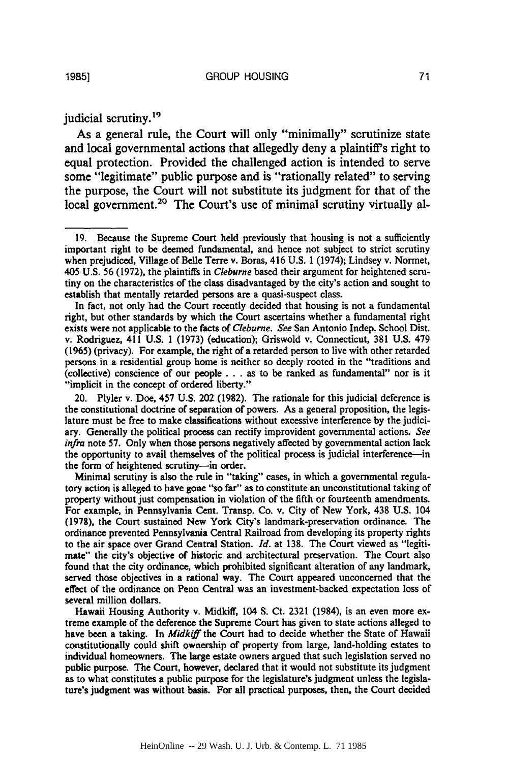judicial scrutiny.<sup>19</sup>

As a general rule, the Court will only "minimally" scrutinize state and local governmental actions that allegedly deny a plaintiff's right to equal protection. Provided the challenged action is intended to serve some "legitimate" public purpose and is "rationally related" to serving the purpose, the Court will not substitute its judgment for that of the local government.<sup>20</sup> The Court's use of minimal scrutiny virtually al-

In fact, not only had the Court recently decided that housing is not a fundamental right, but other standards by which the Court ascertains whether a fundamental right exists were not applicable to the facts of *Cleburne. See* San Antonio Indep. School Dist. v. Rodriguez, 411 U.S. 1 (1973) (education); Griswold v. Connecticut, 381 U.S. 479 (1965) (privacy). For example, the right of a retarded person to live with other retarded persons in a residential group home is neither so deeply rooted in the "traditions and (collective) conscience of our people **...** as to be ranked as fundamental" nor is it "implicit in the concept of ordered liberty."

20. Plyler v. Doe, 457 U.S. 202 (1982). The rationale for this judicial deference is the constitutional doctrine of separation of powers. As a general proposition, the legislature must be free to make classifications without excessive interference by the judiciary. Generally the political process can rectify improvident governmental actions. *See infra* note 57. Only when those persons negatively affected by governmental action lack the opportunity to avail themselves of the political process is judicial interference-in the form of heightened scrutiny-in order.

Minimal scrutiny is also the rule in "taking" cases, in which a governmental regulatory action is alleged to have gone "so far" as to constitute an unconstitutional taking of property without just compensation in violation of the fifth or fourteenth amendments. For example, in Pennsylvania Cent. Transp. Co. v. City of New York, 438 **U.S.** 104 **(1978),** the Court sustained New York City's landmark-preservation ordinance. The ordinance prevented Pennsylvania Central Railroad from developing its property rights to the air space over Grand Central Station. *Id.* at **138.** The Court viewed as "legitimate" the city's objective of historic and architectural preservation. The Court also found that the city ordinance, which prohibited significant alteration of any landmark, served those objectives in a rational way. The Court appeared unconcerned that the effect of the ordinance on Penn Central was an investment-backed expectation loss of several million dollars.

Hawaii Housing Authority v. Midkiff, 104 **S.** Ct. **2321** (1984), is an even more extreme example of the deference the Supreme Court has given to state actions alleged to have been a taking. In *Midkiff* the Court had to decide whether the State of Hawaii constitutionally could shift ownership of property from large, land-holding estates to individual homeowners. The large estate owners argued that such legislation served no public purpose. The Court, however, declared that it would not substitute its judgment as to what constitutes a public purpose for the legislature's judgment unless the legislature's judgment was without basis. For all practical purposes, then, the Court decided

<sup>19.</sup> Because the Supreme Court held previously that housing is not a sufficiently important right to be deemed fundamental, and hence not subject to strict scrutiny when prejudiced, Village of Belle Terre v. Boras, 416 U.S. **1** (1974); Lindsey v. Normet, 405 U.S. 56 (1972), the plaintiffs in *Cleburne* based their argument for heightened scrutiny on the characteristics of the class disadvantaged by the city's action and sought to establish that mentally retarded persons are a quasi-suspect class.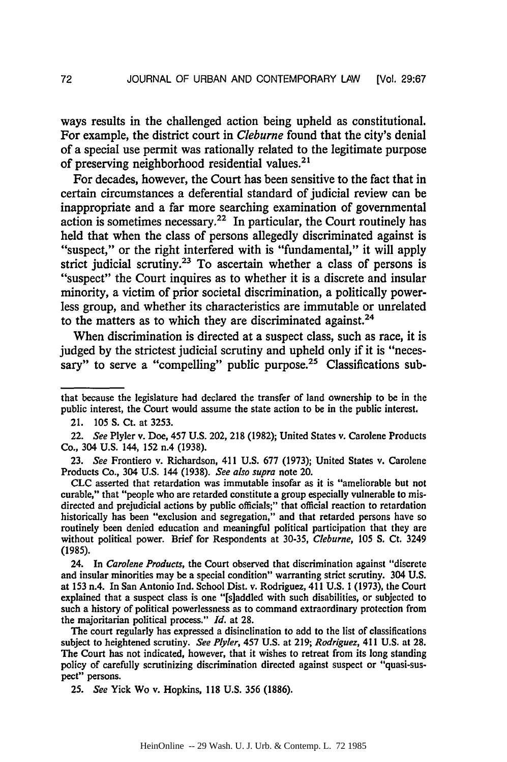ways results in the challenged action being upheld as constitutional. For example, the district court in *Cleburne* found that the city's denial of a special use permit was rationally related to the legitimate purpose of preserving neighborhood residential values.<sup>21</sup>

For decades, however, the Court has been sensitive to the fact that in certain circumstances a deferential standard of judicial review can be inappropriate and a far more searching examination of governmental action is sometimes necessary.<sup>22</sup> In particular, the Court routinely has held that when the class of persons allegedly discriminated against is "suspect," or the right interfered with is "fundamental," it will apply strict judicial scrutiny.<sup>23</sup> To ascertain whether a class of persons is "suspect" the Court inquires as to whether it is a discrete and insular minority, a victim of prior societal discrimination, a politically powerless group, and whether its characteristics are immutable or unrelated to the matters as to which they are discriminated against.<sup>24</sup>

When discrimination is directed at a suspect class, such as race, it is judged by the strictest judicial scrutiny and upheld only if it is "necessary" to serve a "compelling" public purpose.<sup>25</sup> Classifications sub-

24. In *Carolene Products,* the Court observed that discrimination against "discrete and insular minorities may be a special condition" warranting strict scrutiny. 304 U.S. at 153 n.4. In San Antonio Ind. School Dist. v. Rodriguez, 411 U.S. **1** (1973), the Court explained that a suspect class is one "[s]addled with such disabilities, or subjected to such a history of political powerlessness as to command extraordinary protection from the majoritarian political process." *Id.* at 28.

The court regularly has expressed a disinclination to add to the list of classifications subject to heightened scrutiny. *See Plyler,* 457 U.S. at 219; *Rodriguez,* 411 U.S. at 28. The Court has not indicated, however, that it wishes to retreat from its long standing policy of carefully scrutinizing discrimination directed against suspect or "quasi-suspect" persons.

25. *See* Yick Wo v. Hopkins, 118 U.S. 356 (1886).

that because the legislature had declared the transfer of land ownership to be in the public interest, the Court would assume the state action to be in the public interest.

<sup>21. 105</sup> S. Ct. at 3253.

<sup>22.</sup> *See* Plyler v. Doe, 457 U.S. 202, 218 (1982); United States v. Carolene Products Co., 304 U.S. 144, 152 n.4 (1938).

<sup>23.</sup> *See* Frontiero v. Richardson, 411 U.S. 677 (1973); United States v. Carolene Products Co., 304 U.S. 144 (1938). *See also supra* note 20.

**CLC** asserted that retardation was immutable insofar as it is "ameliorable but not curable," that "people who are retarded constitute a group especially vulnerable to misdirected and prejudicial actions by public officials;" that official reaction to retardation historically has been "exclusion and segregation," and that retarded persons have so routinely been denied education and meaningful political participation that they are without political power. Brief for Respondents at 30-35, *Cleburne,* 105 *S.* Ct. 3249 (1985).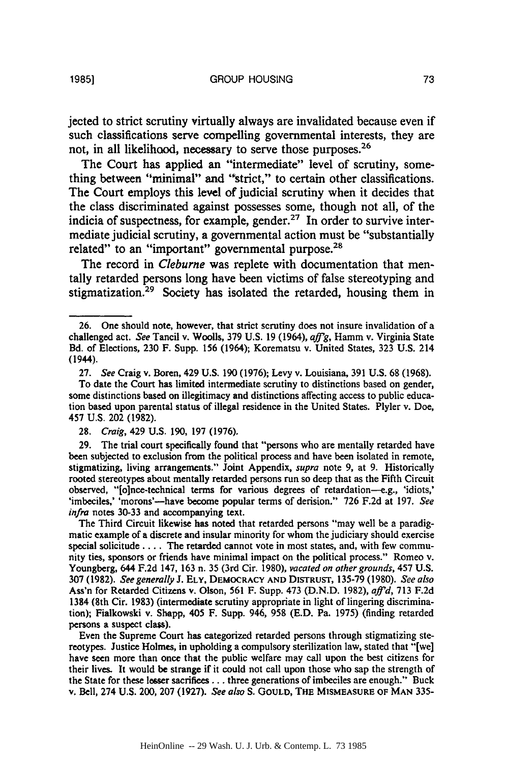jected to strict scrutiny virtually always are invalidated because even if such classifications serve compelling governmental interests, they are not, in all likelihood, necessary to serve those purposes.<sup>26</sup>

The Court has applied an "intermediate" level of scrutiny, something between "minimal" and "strict," to certain other classifications. The Court employs this level of judicial scrutiny when it decides that the class discriminated against possesses some, though not all, of the indicia of suspectness, for example, gender.<sup>27</sup> In order to survive intermediate judicial scrutiny, a governmental action must be "substantially related" to an "important" governmental purpose.<sup>28</sup>

The record in *Cleburne* was replete with documentation that mentally retarded persons long have been victims of false stereotyping and stigmatization.<sup>29</sup> Society has isolated the retarded, housing them in

The Third Circuit likewise has noted that retarded persons "may well be a paradigmatic example of a discrete and insular minority for whom the judiciary should exercise special solicitude .... The retarded cannot vote in most states, and, with few community ties, sponsors or friends have minimal impact on the political process." Romeo v. Youngberg, 644 **F.2d** 147, **163** n. **35** (3rd Cir. **1980),** *vacated on other grounds,* 457 **U.S. 307 (1982).** *See generally* **J.** ELY, DEMOCRACY **AND** DISTRUST, **135-79** (1980). *See also* Ass'n for Retarded Citizens v. Olson, **561** F. Supp. 473 (D.N.D. 1982), *aft'd,* **713 F.2d** 1384 (8th Cir. **1983)** (intermediate scrutiny appropriate in light of lingering discrimination); Fialkowski v. Shapp, 405 F. Supp. 946, **958** (E.D. Pa. 1975) (finding retarded persons a suspect class).

Even the Supreme Court has categorized retarded persons through stigmatizing stereotypes. Justice Holmes, in upholding a compulsory sterilization law, stated that "[we] have **seen** more than once that the public welfare may call upon the best citizens for their lives. It would be **strange** if it could not call upon those who sap the strength of the State for these lesser sacrifices... three generations of imbeciles are enough." Buck v. Bell, 274 **U.S.** 200, **207 (1927).** *See also* S. GOULD, THE **MISMEASURE OF MAN 335-**

**1985]**

**<sup>26.</sup>** One should note, however, that strict scrutiny does not insure invalidation of a challenged act. *See* Tancil v. Woolls, **379 U.S. 19** (1964), *afig,* Hamm v. Virginia State Bd. of Elections, **230** F. Supp. **156** (1964); Korematsu v. United States, **323 U.S.** 214 (1944).

**<sup>27.</sup>** *See* Craig v. Boren, 429 **U.S. 190** (1976); Levy v. Louisiana, **391** U.S. **68** (1968).

To date the Court has limited intermediate scrutiny to distinctions based on gender, some distinctions based on illegitimacy and distinctions affecting access to public education based upon parental status of illegal residence in the United States. Plyler v. Doe, 457 U.S. 202 (1982).

**<sup>28.</sup>** *Craig,* 429 U.S. **190, 197** (1976).

**<sup>29.</sup>** The trial court specifically found that "persons who are mentally retarded have been subjected to exclusion from the political process and have been isolated in remote, stigmatizing, living arrangements." Joint Appendix, *supra* note **9,** at 9. Historically rooted stereotypes about mentally retarded persons run so deep that as the Fifth Circuit observed, "[o]nce-technical terms for various degrees of retardation--e.g., 'idiots,' 'imbeciles,' 'morons'---have become popular terms of derision." **726 F.2d at 197.** See *infra* notes **30-33** and accompanying text.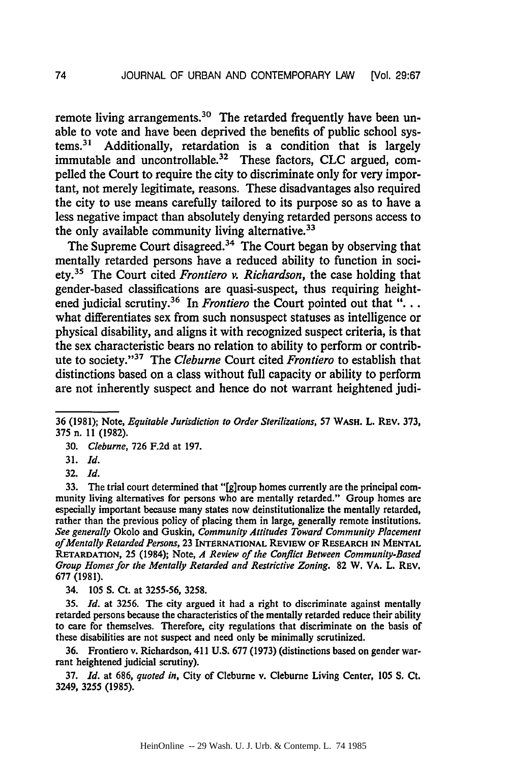remote living arrangements.<sup>30</sup> The retarded frequently have been unable to vote and have been deprived the benefits of public school systems.31 Additionally, retardation is a condition that is largely immutable and uncontrollable. 32 These factors, **CLC** argued, compelled the Court to require the city to discriminate only for very important, not merely legitimate, reasons. These disadvantages also required the city to use means carefully tailored to its purpose so as to have a less negative impact than absolutely denying retarded persons access to the only available community living alternative.<sup>33</sup>

The Supreme Court disagreed.<sup>34</sup> The Court began by observing that mentally retarded persons have a reduced ability to function in society.35 The Court cited *Frontiero v. Richardson,* the case holding that gender-based classifications are quasi-suspect, thus requiring heightened judicial scrutiny.<sup>36</sup> In *Frontiero* the Court pointed out that "... what differentiates sex from such nonsuspect statuses as intelligence or physical disability, and aligns it with recognized suspect criteria, is that the sex characteristic bears no relation to ability to perform or contribute to society.",37 The *Cleburne* Court cited *Frontiero* to establish that distinctions based on a class without full capacity or ability to perform are not inherently suspect and hence do not warrant heightened judi-

33. The trial court determined that "[g]roup homes currently are the principal community living alternatives for persons who are mentally retarded." Group homes are especially important because many states now deinstitutionalize the mentally retarded, rather than the previous policy of placing them in large, generally remote institutions. *See generally* Okolo and Guskin, *Community ,4ttitudes Toward Community Placement of Mentally Retarded Persons,* **23 INTERNATIONAL REVIEW OF RESEARCH IN MENTAL** RETARDATION, **25** (1984); Note, *A Review of the Conflict Between Community-Based Group Homes for the Mentally Retarded and Restrictive Zoning.* 82 W. VA. L. REV. 677 (1981).

34. 105 **S.** Ct. at 3255-56, 3258.

35. *Id.* at 3256. The city argued it had a right to discriminate against mentally retarded persons because the characteristics of the mentally retarded reduce their ability to care for themselves. Therefore, city regulations that discriminate on the basis of these disabilities are not suspect and need only be minimally scrutinized.

36. Frontiero v. Richardson, 411 **U.S.** 677 (1973) (distinctions based on gender warrant heightened judicial scrutiny).

37. *Id.* at **686,** *quoted in,* City of Cleburne v. Cleburne Living Center, 105 **S.** Ct. 3249, 3255 (1985).

<sup>36 (1981);</sup> Note, *Equitable Jurisdiction to Order Sterilizations,* 57 **WASH.** L. REV. **373,** 375 n. 11 (1982).

<sup>30.</sup> *Cleburne,* 726 F.2d at 197.

<sup>31.</sup> *Id.*

<sup>32.</sup> *Id.*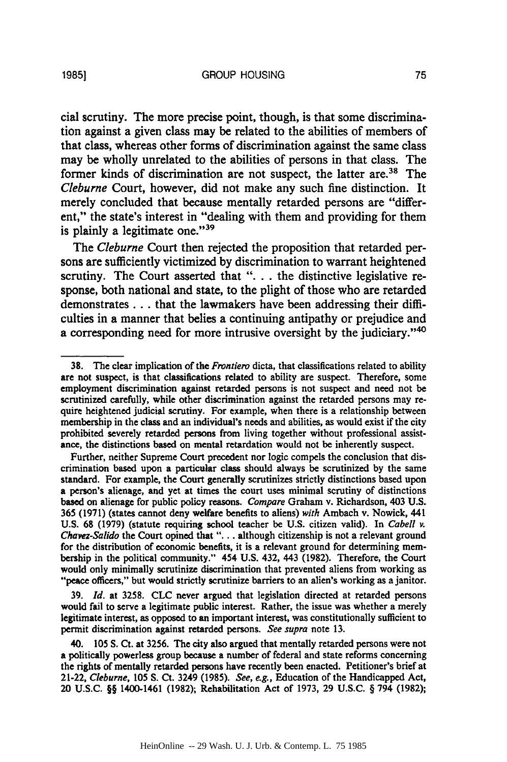cial scrutiny. The more precise point, though, is that some discrimination against a given class may be related to the abilities of members of that class, whereas other forms of discrimination against the same class may be wholly unrelated to the abilities of persons in that class. The

former kinds of discrimination are not suspect, the latter are.<sup>38</sup> The *Cleburne* Court, however, did not make any such fine distinction. It merely concluded that because mentally retarded persons are "different," the state's interest in "dealing with them and providing for them is plainly a legitimate one."<sup>39</sup>

The *Cleburne* Court then rejected the proposition that retarded persons are sufficiently victimized by discrimination to warrant heightened scrutiny. The Court asserted that ". . . the distinctive legislative response, both national and state, to the plight of those who are retarded demonstrates **...** that the lawmakers have been addressing their difficulties in a manner that belies a continuing antipathy or prejudice and a corresponding need for more intrusive oversight by the judiciary."<sup>40</sup>

**39.** *Id.* at **3258. CLC never** argued that legislation directed at retarded persons would fail to serve a legitimate public interest. Rather, the issue was whether a merely legitimate interest, as opposed to an important interest, was constitutionally sufficient to permit discrimination against retarded persons. *See supra* note **13.**

40. **105 S.** Ct. at **3256.** The city also argued that mentally retarded persons were not a politically powerless group because a number of federal and state reforms concerning the rights of mentally retarded persons have recently been enacted. Petitioner's brief at 21-22, *Cleburne,* **105 S.** Ct. 3249 **(1985).** *See, e.g.,* Education of the Handicapped Act, 20 **U.S.C.** §§ 1400-1461 **(1982);** Rehabilitation Act of **1973, 29 U.S.C.** § 794 **(1982);**

**<sup>38.</sup>** The clear implication of the *Frontiero* dicta, that classifications related to ability are not suspect, is that classifications related to ability are suspect. Therefore, some employment discrimination against retarded persons is not suspect and need not be scrutinized carefully, while other discrimination against the retarded persons may require heightened judicial scrutiny. For example, when there is a relationship between membership in the class and an individual's needs and abilities, as would exist if the city prohibited severely retarded persons from living together without professional assistance, the distinctions based on mental retardation would not be inherently suspect.

Further, neither Supreme Court precedent nor logic compels the conclusion that discrimination based upon a particular class should always be scrutinized **by** the same standard. For example, the Court generally scrutinizes strictly distinctions based upon a person's alienage, and yet at times the court uses minimal scrutiny of distinctions based on alienage for public policy reasons. *Compare* Graham v. Richardson, 403 **U.S. 365 (1971)** (states cannot deny welfare benefits to aliens) *with* Ambach v. Nowick, 441 **U.S. 68 (1979)** (statute requiring school teacher be **U.S.** citizen valid). In *Cabell v. Chavez-Salido* the Court opined that **"...** although citizenship is not a relevant ground for the distribution of economic benefits, it is a relevant ground for determining membership in the political community." 454 **U.S.** 432, 443 **(1982).** Therefore, the Court would only minimally scrutinize discrimination that prevented aliens from working as **"peace** officers," but would strictly scrutinize barriers to an alien's working as a janitor.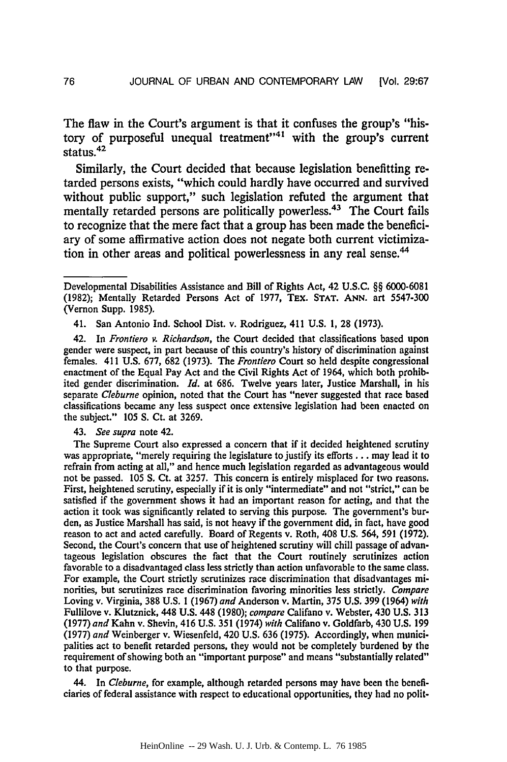The flaw in the Court's argument is that it confuses the group's "history of purposeful unequal treatment"<sup>41</sup> with the group's current status.42

Similarly, the Court decided that because legislation benefitting retarded persons exists, "which could hardly have occurred and survived without public support," such legislation refuted the argument that mentally retarded persons are politically powerless.<sup>43</sup> The Court fails to recognize that the mere fact that a group has been made the beneficiary of some affirmative action does not negate both current victimization in other areas and political powerlessness in any real sense.<sup>44</sup>

41. San Antonio Ind. School Dist. v. Rodriguez, 411 U.S. 1, **28** (1973).

42. In *Frontiero v. Richardson,* the Court decided that classifications based upon gender were suspect, in part because of this country's history of discrimination against females. 411 **U.S. 677, 682 (1973).** The **Frontiero** Court so held despite congressional enactment of the Equal Pay Act and the Civil Rights Act of 1964, which both prohibited gender discrimination. *Id.* at **686.** Twelve years later, Justice Marshall, in his separate *Cleburne* opinion, noted that the Court has "never suggested that race based classifications became any less suspect once extensive legislation had been enacted on the subject." **105 S.** Ct. at **3269.**

43. *See supra* note 42.

The Supreme Court also expressed a concern that if it decided heightened scrutiny was appropriate, "merely requiring the legislature to justify its efforts **...** may lead it to refrain from acting at all," and hence much legislation regarded as advantageous would not be passed. **105 S.** Ct. at **3257.** This concern is entirely misplaced for two reasons. First, heightened scrutiny, especially if it is only "intermediate" and not "strict," can be satisfied if the government shows it had an important reason for acting, and that the action it took was significantly related to serving this purpose. The government's burden, as Justice Marshall has said, is not heavy if the government did, in fact, have good reason to act and acted carefully. Board of Regents v. Roth, 408 **U.S.** 564, **591 (1972).** Second, the Court's concern that use of heightened scrutiny will chill passage of advantageous legislation obscures the fact that the Court routinely scrutinizes action favorable to a disadvantaged class less strictly than action unfavorable to the same class. For example, the Court strictly scrutinizes race discrimination that disadvantages minorities, but scrutinizes race discrimination favoring minorities less strictly. *Compare* Loving v. Virginia, **388 U.S. 1 (1967)** *and* Anderson v. Martin, **375 U.S. 399** (1964) *with* Fullilove v. Klutznick, 448 **U.S.** 448 **(1980);** *compare* Califano v. Webster, 430 **U.S. 313 (1977)** *and* Kahn v. Shevin, 416 **U.S. 351** (1974) *with* Califano v. Goldfarb, 430 **U.S. 199 (1977)** *and* Weinberger v. Wiesenfeld, 420 **U.S. 636 (1975).** Accordingly, when municipalities act to benefit retarded persons, they would not be completely burdened **by** the requirement of showing both an "important purpose" and means "substantially related" to that purpose.

44. In *Cleburne,* for example, although retarded persons may have been the beneficiaries of federal assistance with respect to educational opportunities, they had no polit-

Developmental Disabilities Assistance and Bill of Rights Act, 42 U.S.C. §§ 6000-6081 (1982); Mentally Retarded Persons Act of 1977, TEX. **STAT. ANN.** art 5547-300 (Vernon Supp. 1985).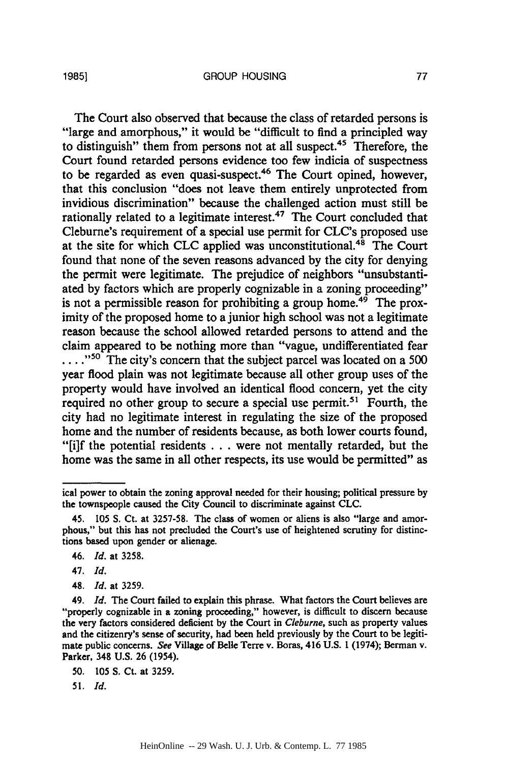The Court also observed that because the class of retarded persons is "large and amorphous," it would be "difficult to find a principled way to distinguish" them from persons not at all suspect.<sup>45</sup> Therefore, the Court found retarded persons evidence too few indicia of suspectness to be regarded as even quasi-suspect.46 The Court opined, however, that this conclusion "does not leave them entirely unprotected from invidious discrimination" because the challenged action must still be rationally related to a legitimate interest.<sup>47</sup> The Court concluded that Cleburne's requirement of a special use permit for CLC's proposed use at the site for which CLC applied was unconstitutional.<sup>48</sup> The Court found that none of the seven reasons advanced by the city for denying the permit were legitimate. The prejudice of neighbors "unsubstantiated by factors which are properly cognizable in a zoning proceeding" is not a permissible reason for prohibiting a group home. $49$  The proximity of the proposed home to a junior high school was not a legitimate reason because the school allowed retarded persons to attend and the claim appeared to be nothing more than "vague, undifferentiated fear ....<sup>"50</sup> The city's concern that the subject parcel was located on a 500 year flood plain was not legitimate because all other group uses of the property would have involved an identical flood concern, yet the city required no other group to secure a special use permit.<sup>51</sup> Fourth, the city had no legitimate interest in regulating the size of the proposed home and the number of residents because, as both lower courts found, "[i]f the potential residents **...** were not mentally retarded, but the home was the same in all other respects, its use would be permitted" as

48. *Id.* at 3259.

51. *Id.*

ical power to obtain the zoning approval needed for their housing; political pressure by the townspeople caused the City Council to discriminate against CLC.

<sup>45. 105</sup> **S.** Ct. at 3257-58. The class of women or aliens is also "large and amorphous," but this has not precluded the Court's use of heightened scrutiny for distinctions based upon gender or alienage.

<sup>46.</sup> *Id.* at 3258.

<sup>47.</sup> *Id.*

<sup>49.</sup> *Id.* The Court failed to explain this phrase. What factors the Court believes are "properly cognizable in a zoning proceeding," however, is difficult to discern because the very factors considered deficient by the Court in *Cleburne,* such as property values and the citizenry's sense of security, had been held previously by the Court to be legitimate public concerns. *See* Village of Belle Terre v. Boras, 416 U.S. 1 (1974); Berman v. Parker, 348 U.S. 26 (1954).

<sup>50. 105</sup> S. Ct. at 3259.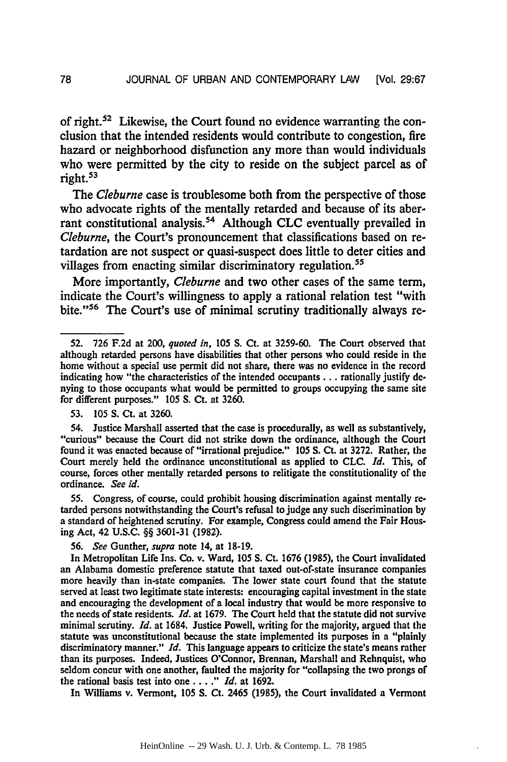of right.<sup>52</sup> Likewise, the Court found no evidence warranting the conclusion that the intended residents would contribute to congestion, fire hazard or neighborhood disfunction any more than would individuals who were permitted by the city to reside on the subject parcel as of right.<sup>53</sup>

*The Cleburne* case is troublesome both from the perspective of those who advocate rights of the mentally retarded and because of its aberrant constitutional analysis.<sup>54</sup> Although CLC eventually prevailed in *Cleburne,* the Court's pronouncement that classifications based on retardation are not suspect or quasi-suspect does little to deter cities and villages from enacting similar discriminatory regulation.<sup>55</sup>

More importantly, *Cleburne* and two other cases of the same term, indicate the Court's willingness to apply a rational relation test "with bite."<sup>56</sup> The Court's use of minimal scrutiny traditionally always re-

53. 105 S. Ct. at 3260.

55. Congress, of course, could prohibit housing discrimination against mentally retarded persons notwithstanding the Court's refusal to judge any such discrimination by a standard of heightened scrutiny. For example, Congress could amend the Fair Housing Act, 42 U.S.C. §§ 3601-31 (1982).

56. *See* Gunther, *supra* note 14, at 18-19.

In Metropolitan Life Ins. Co. v. Ward, 105 **S.** Ct. 1676 (1985), the Court invalidated an Alabama domestic preference statute that taxed out-of-state insurance companies more heavily than in-state companies. The lower state court found that the statute served at least two legitimate state interests: encouraging capital investment in the state and encouraging the development of a local industry that would be more responsive to the needs of state residents. *Id.* at 1679. The Court held that the statute did not survive minimal scrutiny. *Id.* at 1684. Justice Powell, writing for the majority, argued that the statute was unconstitutional because the state implemented its purposes in a "plainly discriminatory manner." *Id.* This language appears to criticize the state's means rather than its purposes. Indeed, Justices O'Connor, Brennan, Marshall and Rehnquist, who seldom concur with one another, faulted the majority for "collapsing the two prongs of the rational basis test into one. . . **."** *Id.* at 1692.

In Williams v. Vermont, 105 **S.** Ct. 2465 (1985), the Court invalidated a Vermont

**<sup>52. 726</sup> F.2d** at 200, *quoted in,* **105 S.** Ct. at 3259-60. The Court observed that although retarded persons have disabilities that other persons who could reside in the home without a special use permit did not share, there was no evidence in the record indicating how "the characteristics of the intended occupants **...** rationally justify denying to those occupants what would be permitted to groups occupying the same site for different purposes." 105 **S.** Ct. at 3260.

<sup>54.</sup> Justice Marshall asserted that the case is procedurally, as well as substantively, "curious" because the Court did not strike down the ordinance, although the Court found it was enacted because of "irrational prejudice." 105 S. Ct. at 3272. Rather, the Court merely held the ordinance unconstitutional as applied to CLC. *Id.* This, of course, forces other mentally retarded persons to relitigate the constitutionality of the ordinance. *See id.*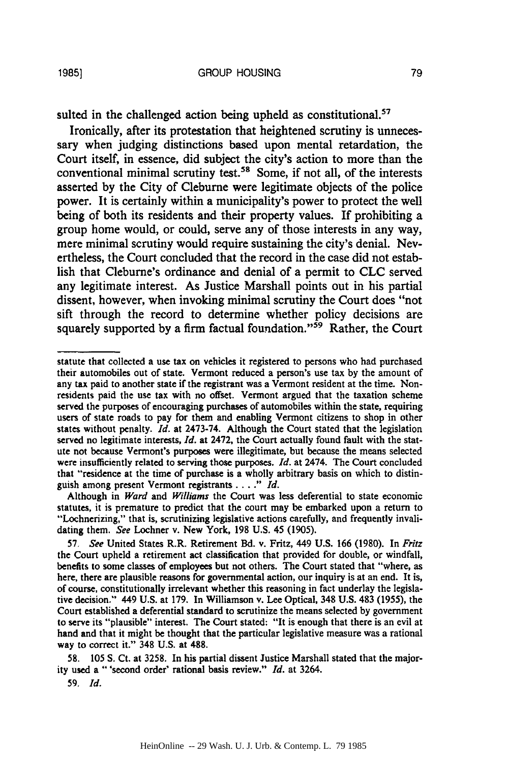sulted in the challenged action being upheld as constitutional.<sup>57</sup>

Ironically, after its protestation that heightened scrutiny is unnecessary when judging distinctions based upon mental retardation, the Court itself, in essence, did subject the city's action to more than the conventional minimal scrutiny test.<sup>58</sup> Some, if not all, of the interests asserted by the City of Cleburne were legitimate objects of the police power. It is certainly within a municipality's power to protect the well being of both its residents and their property values. If prohibiting a group home would, or could, serve any of those interests in any way, mere minimal scrutiny would require sustaining the city's denial. Nevertheless, the Court concluded that the record in the case did not establish that Cleburne's ordinance and denial of a permit to **CLC** served any legitimate interest. As Justice Marshall points out in his partial dissent, however, when invoking minimal scrutiny the Court does "not sift through the record to determine whether policy decisions are squarely supported by a firm factual foundation."<sup>59</sup> Rather, the Court

**58.** 105 **S.** Ct. at 3258. In his partial dissent Justice Marshall stated that the majority used a "'second order' rational basis review." *Id.* at 3264.

**59.** *Id.*

statute that collected a use tax on vehicles it registered to persons who had purchased their automobiles out of state. Vermont reduced a person's use tax by the amount of any tax paid to another state if the registrant was a Vermont resident at the time. Nonresidents paid the use tax with no offset. Vermont argued that the taxation scheme served the purposes of encouraging purchases of automobiles within the state, requiring users of state roads to pay for them and enabling Vermont citizens to shop in other states without penalty. *Id.* at 2473-74. Although the Court stated that the legislation served no legitimate interests, *Id.* at 2472, the Court actually found fault with the statute not because Vermont's purposes were illegitimate, but because the means selected were insufficiently related to serving those purposes. *Id.* at 2474. The Court concluded that "residence at the time of purchase is a wholly arbitrary basis on which to distinguish among present Vermont registrants *.... " Id.*

Although in *Ward* and *Williams* the Court was less deferential to state economic statutes, it is premature to predict that the court may be embarked upon a return to "Lochnerizing," that is, scrutinizing legislative actions carefully, and frequently invalidating them. *See* Lochner v. New York, **198** U.S. 45 (1905).

<sup>57.</sup> *See* United States R.R. Retirement Bd. v. Fritz, 449 U.S. 166 (1980). In *Fritz* the Court upheld a retirement act classification that provided for double, or windfall, benefits to some classes of employees but not others. The Court stated that "where, as here, there are plausible reasons for governmental action, our inquiry is at an end. It is, of course, constitutionally irrelevant whether this reasoning in fact underlay the legislative decision." 449 U.S. at 179. In Williamson v. Lee Optical, 348 **U.S.** 483 (1955), the Court established a deferential standard to scrutinize the means selected by government to serve its "plausible" interest. The Court stated: "It is enough that there is an evil at hand and that it might be thought that the particular legislative measure was a rational way to correct it." 348 U.S. at 488.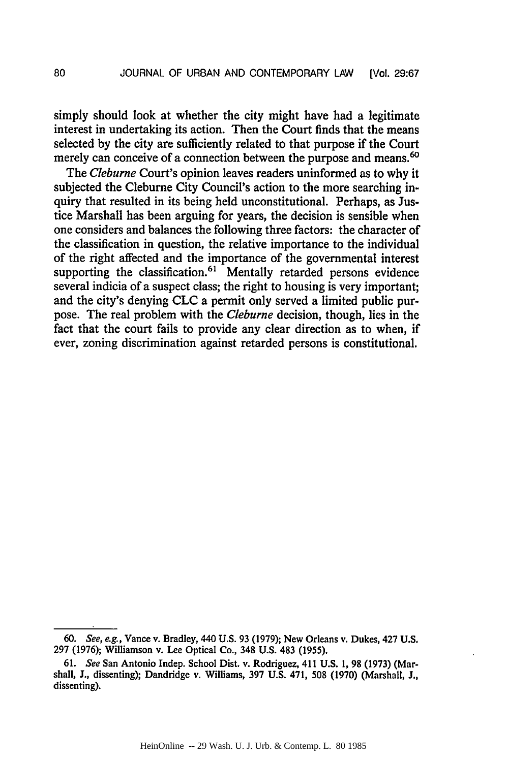simply should look at whether the city might have had a legitimate interest in undertaking its action. Then the Court finds that the means selected **by** the city are sufficiently related to that purpose if the Court merely can conceive of a connection between the purpose and means.<sup>60</sup>

*The Cleburne* Court's opinion leaves readers uninformed as to why it subjected the Cleburne City Council's action to the more searching inquiry that resulted in its being held unconstitutional. Perhaps, as Justice Marshall has been arguing for years, the decision is sensible when one considers and balances the following three factors: the character of the classification in question, the relative importance to the individual of the right affected and the importance of the governmental interest supporting the classification.<sup>61</sup> Mentally retarded persons evidence several indicia of a suspect class; the right to housing is very important; and the city's denying **CLC** a permit only served a limited public purpose. The real problem with the *Cleburne* decision, though, lies in the fact that the court fails to provide any clear direction as to when, if ever, zoning discrimination against retarded persons is constitutional.

*<sup>60.</sup>* See, e.g., Vance v. Bradley, 440 **U.S. 93 (1979);** New Orleans v. Dukes, 427 **U.S. 297 (1976);** Williamson v. Lee Optical Co., 348 **U.S.** 483 **(1955).**

**<sup>61.</sup>** See San Antonio Indep. School Dist. v. Rodriguez, 411 **U.S. 1, 98 (1973)** (Marshall, **J.,** dissenting); Dandridge v. Williams, **397 U.S.** 471, **508 (1970)** (Marshall, **J.,** dissenting).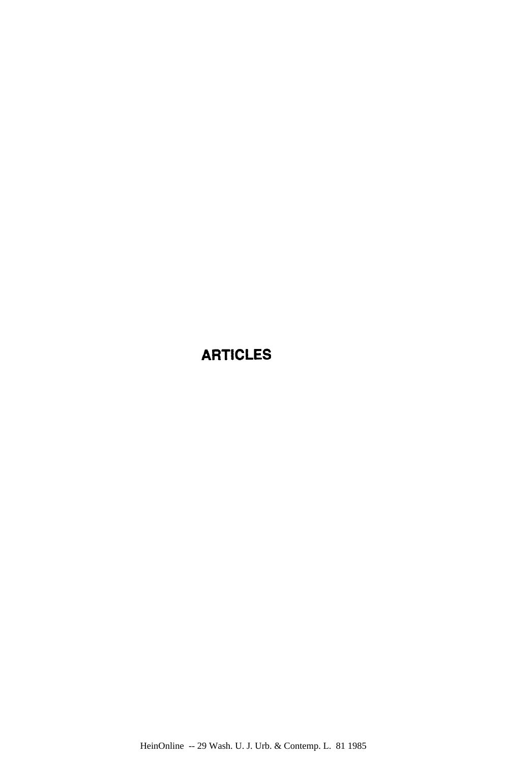### ARTICLES